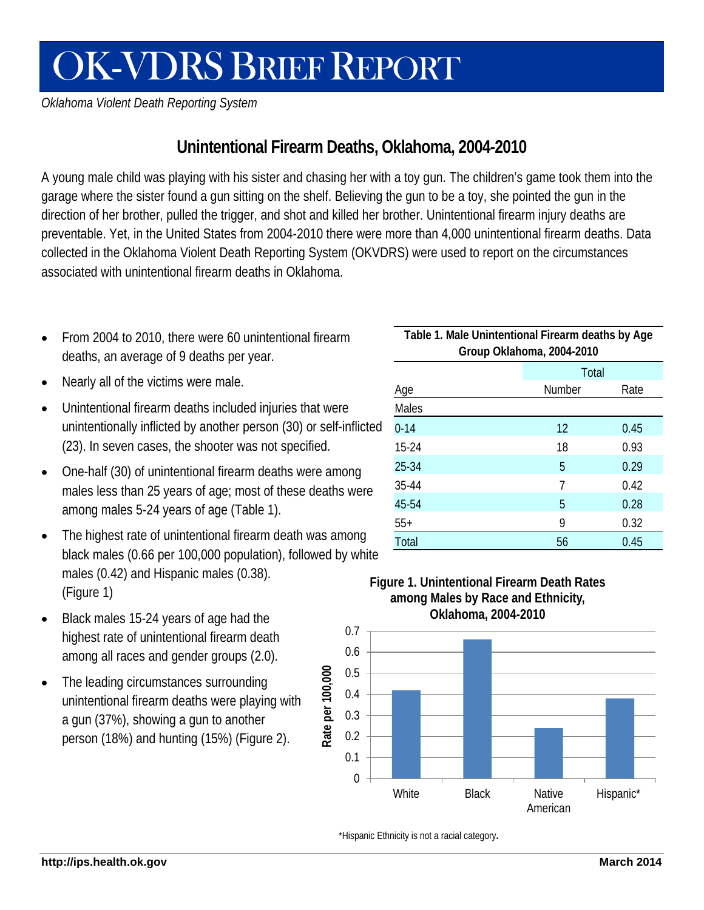# OK-VDRS BRIEF REPORT

*Oklahoma Violent Death Reporting System*

## **Unintentional Firearm Deaths, Oklahoma, 2004-2010**

A young male child was playing with his sister and chasing her with a toy gun. The children's game took them into the garage where the sister found a gun sitting on the shelf. Believing the gun to be a toy, she pointed the gun in the direction of her brother, pulled the trigger, and shot and killed her brother. Unintentional firearm injury deaths are preventable. Yet, in the United States from 2004-2010 there were more than 4,000 unintentional firearm deaths. Data collected in the Oklahoma Violent Death Reporting System (OKVDRS) were used to report on the circumstances associated with unintentional firearm deaths in Oklahoma.

- From 2004 to 2010, there were 60 unintentional firearm deaths, an average of 9 deaths per year.
- Nearly all of the victims were male.
- Unintentional firearm deaths included injuries that were unintentionally inflicted by another person (30) or self-inflicted (23). In seven cases, the shooter was not specified.
- One-half (30) of unintentional firearm deaths were among males less than 25 years of age; most of these deaths were among males 5-24 years of age (Table 1).
- The highest rate of unintentional firearm death was among black males (0.66 per 100,000 population), followed by white males (0.42) and Hispanic males (0.38). (Figure 1) **Figure 1. Unintentional Firearm Death Rates**
- Black males 15-24 years of age had the highest rate of unintentional firearm death among all races and gender groups (2.0).
- The leading circumstances surrounding unintentional firearm deaths were playing with a gun (37%), showing a gun to another person (18%) and hunting (15%) (Figure 2).

| Table 1. Male Unintentional Firearm deaths by Age<br>Group Oklahoma, 2004-2010 |               |      |
|--------------------------------------------------------------------------------|---------------|------|
|                                                                                | Total         |      |
| Age                                                                            | <b>Number</b> | Rate |
| Males                                                                          |               |      |
| $0 - 14$                                                                       | 12            | 0.45 |
| $15-24$                                                                        | 18            | 0.93 |
| 25-34                                                                          | 5             | 0.29 |
| 35-44                                                                          | 7             | 0.42 |
| 45-54                                                                          | 5             | 0.28 |
| $55+$                                                                          | 9             | 0.32 |
| Total                                                                          | 56            | 0.45 |



#### \*Hispanic Ethnicity is not a racial category**.**